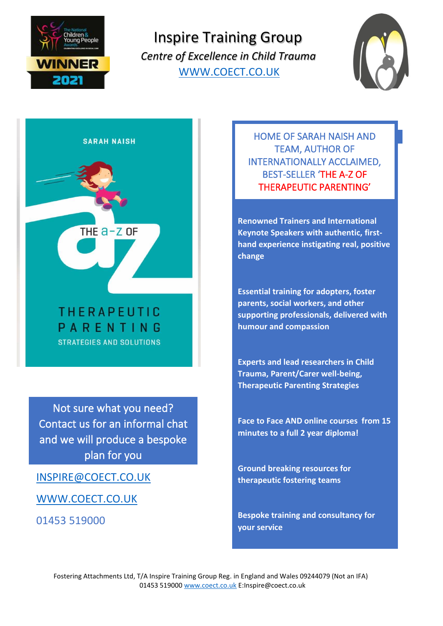

Inspire Training Group  *Centre of Excellence in Child Trauma* [WWW.COECT.CO.UK](http://www.coect.co.uk/)



**SARAH NAISH** 

**THERAPEUTIC** PARENTING **STRATEGIES AND SOLUTIONS** 

THE  $a-z$  of

Not sure what you need? Contact us for an informal chat and we will produce a bespoke plan for you

[INSPIRE@COECT.CO.UK](mailto:Inspire@coect.co.uk)

[WWW.COECT.CO.UK](http://www.coect.co.uk/)

01453 519000

HOME OF SARAH NAISH AND TEAM, AUTHOR OF INTERNATIONALLY ACCLAIMED, BEST-SELLER 'THE A-Z OF THERAPEUTIC PARENTING'

**Renowned Trainers and International Keynote Speakers with authentic, firsthand experience instigating real, positive change**

**Essential training for adopters, foster parents, social workers, and other supporting professionals, delivered with humour and compassion**

**Experts and lead researchers in Child Trauma, Parent/Carer well-being, Therapeutic Parenting Strategies**

**Face to Face AND online courses from 15 minutes to a full 2 year diploma!**

**Ground breaking resources for therapeutic fostering teams**

**Bespoke training and consultancy for your service**

Fostering Attachments Ltd, T/A Inspire Training Group Reg. in England and Wales 09244079 (Not an IFA) 01453 51900[0 www.coect.co.uk](http://www.coect.co.uk/) E:Inspire@coect.co.uk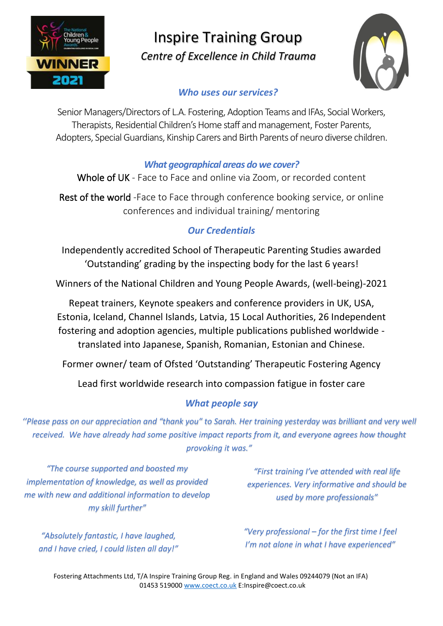

## Inspire Training Group  *Centre of Excellence in Child Trauma*



### *Who uses our services?*

Senior Managers/Directors of L.A. Fostering, Adoption Teams and IFAs, Social Workers, Therapists, Residential Children's Home staff and management, Foster Parents, Adopters, Special Guardians, Kinship Carers and Birth Parents of neuro diverse children.

### *What geographical areas do we cover?*

Whole of UK - Face to Face and online via Zoom, or recorded content

Rest of the world -Face to Face through conference booking service, or online conferences and individual training/ mentoring

## *Our Credentials*

Independently accredited School of Therapeutic Parenting Studies awarded 'Outstanding' grading by the inspecting body for the last 6 years!

Winners of the National Children and Young People Awards, (well-being)-2021

Repeat trainers, Keynote speakers and conference providers in UK, USA, Estonia, Iceland, Channel Islands, Latvia, 15 Local Authorities, 26 Independent fostering and adoption agencies, multiple publications published worldwide translated into Japanese, Spanish, Romanian, Estonian and Chinese.

Former owner/ team of Ofsted 'Outstanding' Therapeutic Fostering Agency

Lead first worldwide research into compassion fatigue in foster care

## *What people say*

*''Please pass on our appreciation and "thank you" to Sarah. Her training yesterday was brilliant and very well received. We have already had some positive impact reports from it, and everyone agrees how thought provoking it was."*

*"The course supported and boosted my implementation of knowledge, as well as provided me with new and additional information to develop my skill further"*

*"Absolutely fantastic, I have laughed, and I have cried, I could listen all day!"*

*"First training I've attended with real life experiences. Very informative and should be used by more professionals"*

*"Very professional – for the first time I feel I'm not alone in what I have experienced"*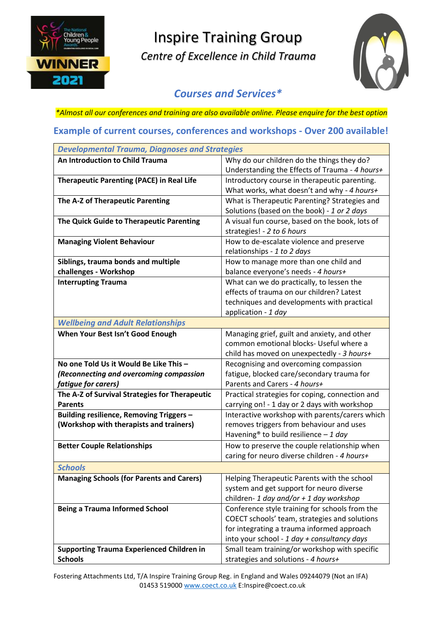

# Inspire Training Group

 *Centre of Excellence in Child Trauma*



### *Courses and Services\**

*\*Almost all our conferences and training are also available online. Please enquire for the best option*

#### **Example of current courses, conferences and workshops - Over 200 available!**

| <b>Developmental Trauma, Diagnoses and Strategies</b> |                                                    |
|-------------------------------------------------------|----------------------------------------------------|
| An Introduction to Child Trauma                       | Why do our children do the things they do?         |
|                                                       | Understanding the Effects of Trauma - 4 hours+     |
| <b>Therapeutic Parenting (PACE) in Real Life</b>      | Introductory course in therapeutic parenting.      |
|                                                       | What works, what doesn't and why - 4 hours+        |
| The A-Z of Therapeutic Parenting                      | What is Therapeutic Parenting? Strategies and      |
|                                                       | Solutions (based on the book) - 1 or 2 days        |
| The Quick Guide to Therapeutic Parenting              | A visual fun course, based on the book, lots of    |
|                                                       | strategies! - 2 to 6 hours                         |
| <b>Managing Violent Behaviour</b>                     | How to de-escalate violence and preserve           |
|                                                       | relationships - 1 to 2 days                        |
| Siblings, trauma bonds and multiple                   | How to manage more than one child and              |
| challenges - Workshop                                 | balance everyone's needs - 4 hours+                |
| <b>Interrupting Trauma</b>                            | What can we do practically, to lessen the          |
|                                                       | effects of trauma on our children? Latest          |
|                                                       | techniques and developments with practical         |
|                                                       | application - 1 day                                |
| <b>Wellbeing and Adult Relationships</b>              |                                                    |
| When Your Best Isn't Good Enough                      | Managing grief, guilt and anxiety, and other       |
|                                                       | common emotional blocks- Useful where a            |
|                                                       | child has moved on unexpectedly - 3 hours+         |
| No one Told Us it Would Be Like This -                | Recognising and overcoming compassion              |
| (Reconnecting and overcoming compassion               | fatigue, blocked care/secondary trauma for         |
| fatigue for carers)                                   | Parents and Carers - 4 hours+                      |
| The A-Z of Survival Strategies for Therapeutic        | Practical strategies for coping, connection and    |
| <b>Parents</b>                                        | carrying on! - 1 day or 2 days with workshop       |
| Building resilience, Removing Triggers -              | Interactive workshop with parents/carers which     |
| (Workshop with therapists and trainers)               | removes triggers from behaviour and uses           |
|                                                       | Havening <sup>®</sup> to build resilience $-1$ day |
| <b>Better Couple Relationships</b>                    | How to preserve the couple relationship when       |
|                                                       | caring for neuro diverse children - 4 hours+       |
| <b>Schools</b>                                        |                                                    |
| <b>Managing Schools (for Parents and Carers)</b>      | Helping Therapeutic Parents with the school        |
|                                                       | system and get support for neuro diverse           |
|                                                       | children- 1 day and/or + 1 day workshop            |
| <b>Being a Trauma Informed School</b>                 | Conference style training for schools from the     |
|                                                       | COECT schools' team, strategies and solutions      |
|                                                       | for integrating a trauma informed approach         |
|                                                       | into your school - 1 day + consultancy days        |
| <b>Supporting Trauma Experienced Children in</b>      | Small team training/or workshop with specific      |
| <b>Schools</b>                                        | strategies and solutions - 4 hours+                |

Fostering Attachments Ltd, T/A Inspire Training Group Reg. in England and Wales 09244079 (Not an IFA) 01453 51900[0 www.coect.co.uk](http://www.coect.co.uk/) E:Inspire@coect.co.uk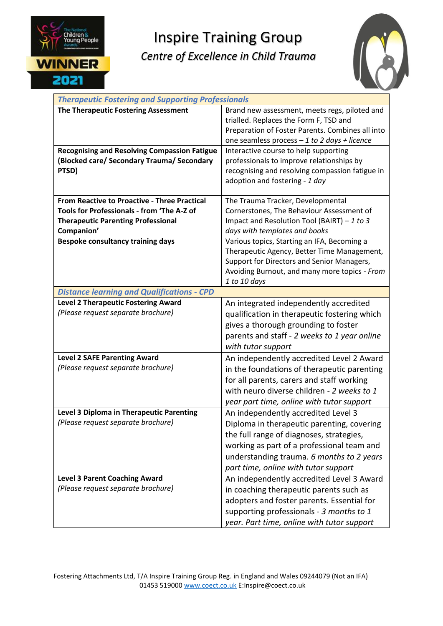

## Inspire Training Group

## *Centre of Excellence in Child Trauma*



| <b>Therapeutic Fostering and Supporting Professionals</b> |                                                  |
|-----------------------------------------------------------|--------------------------------------------------|
| The Therapeutic Fostering Assessment                      | Brand new assessment, meets regs, piloted and    |
|                                                           | trialled. Replaces the Form F, TSD and           |
|                                                           | Preparation of Foster Parents. Combines all into |
|                                                           | one seamless process $-1$ to 2 days + licence    |
| <b>Recognising and Resolving Compassion Fatigue</b>       | Interactive course to help supporting            |
| (Blocked care/ Secondary Trauma/ Secondary                | professionals to improve relationships by        |
| PTSD)                                                     | recognising and resolving compassion fatigue in  |
|                                                           | adoption and fostering - 1 day                   |
|                                                           |                                                  |
| <b>From Reactive to Proactive - Three Practical</b>       | The Trauma Tracker, Developmental                |
| Tools for Professionals - from 'The A-Z of                | Cornerstones, The Behaviour Assessment of        |
| <b>Therapeutic Parenting Professional</b>                 | Impact and Resolution Tool (BAIRT) $-1$ to 3     |
| Companion'                                                | days with templates and books                    |
| <b>Bespoke consultancy training days</b>                  | Various topics, Starting an IFA, Becoming a      |
|                                                           | Therapeutic Agency, Better Time Management,      |
|                                                           | Support for Directors and Senior Managers,       |
|                                                           | Avoiding Burnout, and many more topics - From    |
|                                                           | 1 to 10 days                                     |
| <b>Distance learning and Qualifications - CPD</b>         |                                                  |
| <b>Level 2 Therapeutic Fostering Award</b>                | An integrated independently accredited           |
| (Please request separate brochure)                        | qualification in therapeutic fostering which     |
|                                                           | gives a thorough grounding to foster             |
|                                                           | parents and staff - 2 weeks to 1 year online     |
|                                                           | with tutor support                               |
| <b>Level 2 SAFE Parenting Award</b>                       | An independently accredited Level 2 Award        |
| (Please request separate brochure)                        | in the foundations of therapeutic parenting      |
|                                                           | for all parents, carers and staff working        |
|                                                           | with neuro diverse children - 2 weeks to 1       |
|                                                           | year part time, online with tutor support        |
| Level 3 Diploma in Therapeutic Parenting                  | An independently accredited Level 3              |
| (Please request separate brochure)                        | Diploma in therapeutic parenting, covering       |
|                                                           | the full range of diagnoses, strategies,         |
|                                                           |                                                  |
|                                                           | working as part of a professional team and       |
|                                                           | understanding trauma. 6 months to 2 years        |
|                                                           | part time, online with tutor support             |
| <b>Level 3 Parent Coaching Award</b>                      | An independently accredited Level 3 Award        |
| (Please request separate brochure)                        | in coaching therapeutic parents such as          |
|                                                           | adopters and foster parents. Essential for       |
|                                                           | supporting professionals - 3 months to 1         |
|                                                           | year. Part time, online with tutor support       |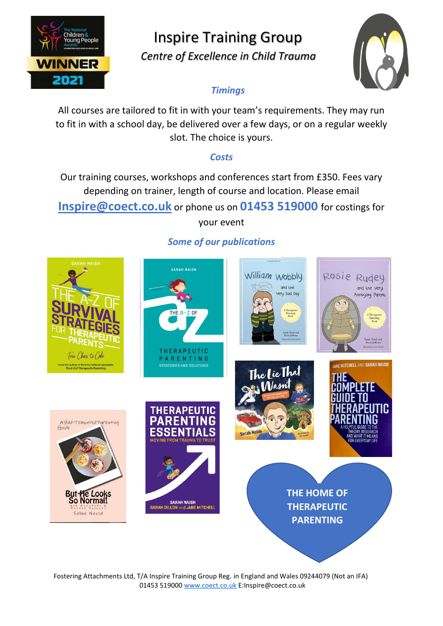

## Inspire Training Group

 *Centre of Excellence in Child Trauma*



### *Timings*

All courses are tailored to fit in with your team's requirements. They may run to fit in with a school day, be delivered over a few days, or on a regular weekly slot. The choice is yours.

### *Costs*

Our training courses, workshops and conferences start from £350. Fees vary depending on trainer, length of course and location. Please email

**[Inspire@coect.co.uk](mailto:Inspire@coect.co.uk)** or phone us on **01453 519000** for costings for

your event



### *Some of our publications*

Fostering Attachments Ltd, T/A Inspire Training Group Reg. in England and Wales 09244079 (Not an IFA) 01453 51900[0 www.coect.co.uk](http://www.coect.co.uk/) E:Inspire@coect.co.uk